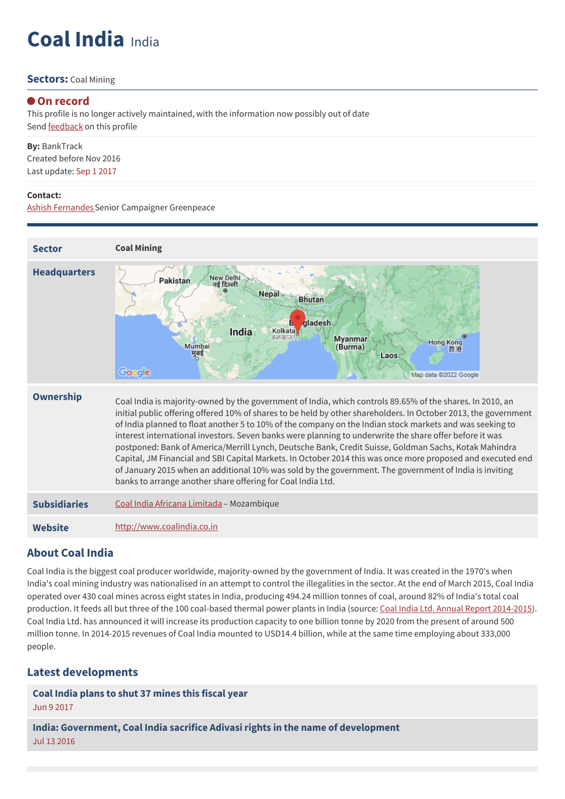# **Coal India** India

#### **Sectors:** Coal Mining

#### **On record**

This profile is no longer actively maintained, with the information now possibly out of date Send **[feedback](https://www.banktrack.org/feedback/companyprofile/coal_india)** on this profile

**By:** BankTrack Created before Nov 2016 Last update: Sep 1 2017

#### **Contact:**

Ashish [FernandesS](mailto:ashish.fernandes@greenpeace.org)enior Campaigner Greenpeace



### **About Coal India**

Coal India is the biggest coal producer worldwide, majority-owned by the government of India. It was created in the 1970's when India's coal mining industry was nationalised in an attempt to control the illegalities in the sector. At the end of March 2015, Coal India operated over 430 coal mines across eight states in India, producing 494.24 million tonnes of coal, around 82% of India's total coal production. It feeds all but three of the 100 coal-based thermal power plants in India (source: Coal India Ltd. Annual Report [2014-2015](https://www.coalindia.in/DesktopModules/DocumentList/documents/Annual_Report_&_Accounts_2014-15_Deluxe_version_In_English_03102015.pdf)). Coal India Ltd. has announced it will increase its production capacity to one billion tonne by 2020 from the present of around 500 million tonne. In 2014-2015 revenues of Coal India mounted to USD14.4 billion, while at the same time employing about 333,000 people.

### **Latest developments**

**Coal India plans to shut 37 [mines](javascript:void(0)) this fiscal year** Jun 9 2017

**India: Government, Coal India sacrifice Adivasi rights in the name of [development](javascript:void(0))** Jul 13 2016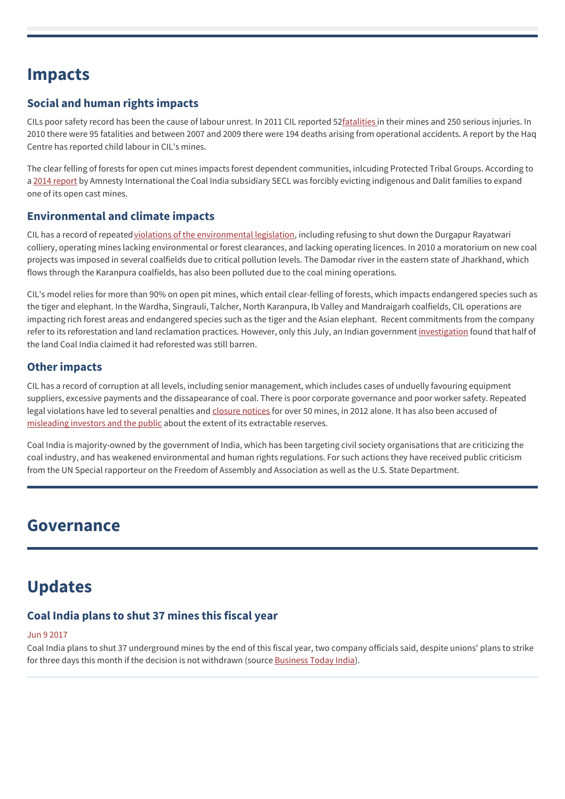## **Impacts**

## **Social and human rights impacts**

CILs poor safety record has been the cause of labour unrest. In 2011 CIL reported 5[2fatalities](http://www.greenpeace.org/india/Global/india/docs/Coal-India-Investor-Brief.pdf) in their mines and 250 serious injuries. In 2010 there were 95 fatalities and between 2007 and 2009 there were 194 deaths arising from operational accidents. A report by the Haq Centre has reported child labour in CIL's mines.

The clear felling of forests for open cut mines impacts forest dependent communities, inlcuding Protected Tribal Groups. According to a 2014 [report](https://www.amnesty.org.in/show/news/indigenous-and-dalit-communities-at-risk-of-forced-evictions-in-chhattisgar) by Amnesty International the Coal India subsidiary SECL was forcibly evicting indigenous and Dalit families to expand one of its open cast mines.

### **Environmental and climate impacts**

CIL has a record of repeated violations of the [environmental](http://www.greenpeace.org/india/Global/india/docs/Coal-India-Investor-Brief.pdf) legislation, including refusing to shut down the Durgapur Rayatwari colliery, operating mines lacking environmental or forest clearances, and lacking operating licences. In 2010 a moratorium on new coal projects was imposed in several coalfields due to critical pollution levels. The Damodar river in the eastern state of Jharkhand, which flows through the Karanpura coalfields, has also been polluted due to the coal mining operations.

CIL's model relies for more than 90% on open pit mines, which entail clear-felling of forests, which impacts endangered species such as the tiger and elephant. In the Wardha, Singrauli, Talcher, North Karanpura, Ib Valley and Mandraigarh coalfields, CIL operations are impacting rich forest areas and endangered species such as the tiger and the Asian elephant. Recent commitments from the company refer to its reforestation and land reclamation practices. However, only this July, an Indian government [investigation](http://www.hindustantimes.com/india/50-of-reclaimed-coal-mine-area-of-coal-india-is-barren/story-YnJSjwFGWz930DSByjJ8eN.html) found that half of the land Coal India claimed it had reforested was still barren.

## **Other impacts**

CIL has a record of corruption at all levels, including senior management, which includes cases of unduelly favouring equipment suppliers, excessive payments and the dissapearance of coal. There is poor corporate governance and poor worker safety. Repeated legal violations have led to several penalties and [closure](http://www.greenpeace.org/india/Global/india/docs/Coal-India-Investor-Brief.pdf) notices for over 50 mines, in 2012 alone. It has also been accused of [misleading](http://www.greenpeace.org/india/Global/india/report/2013/Coal-India-Running-on-Empty.pdf) investors and the public about the extent of its extractable reserves.

Coal India is majority-owned by the government of India, which has been targeting civil society organisations that are criticizing the coal industry, and has weakened environmental and human rights regulations. For such actions they have received public criticism from the UN Special rapporteur on the Freedom of Assembly and Association as well as the U.S. State Department.

## **Governance**

## **Updates**

## **Coal India plans to shut 37 mines this fiscal year**

#### Jun 9 2017

Coal India plans to shut 37 underground mines by the end of this fiscal year, two company officials said, despite unions' plans to strike for three days this month if the decision is not withdrawn (source [Business](http://www.businesstoday.in/current/corporate/coal-india-plans-to-shut-37-mines-this-fiscal-year/story/254022.html) Today India).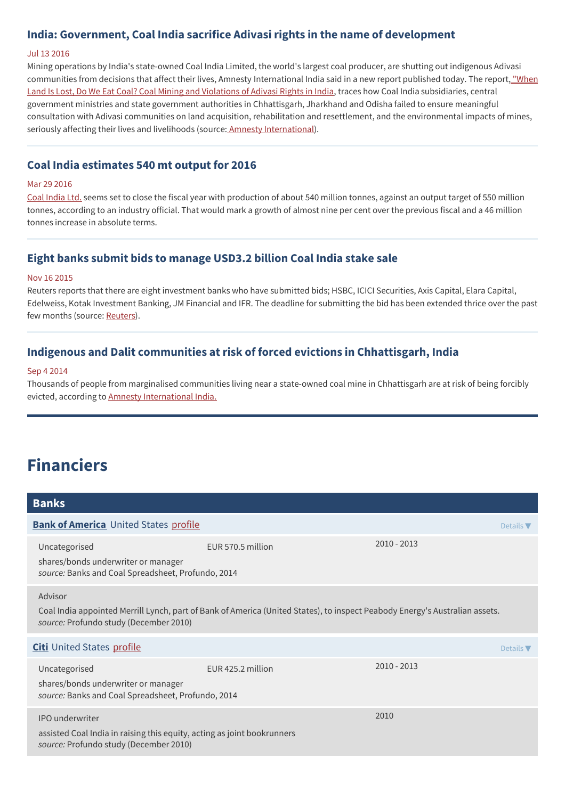### **India: Government, Coal India sacrifice Adivasi rights in the name of development**

#### Jul 13 2016

Mining operations by India's state-owned Coal India Limited, the world's largest coal producer, are shutting out indigenous Adivasi [communities](http://www.amnestyusa.org/sites/default/files/report_final.pdf) from decisions that affect their lives, Amnesty International India said in a new report published today. The report, "When Land Is Lost, Do We Eat Coal? Coal Mining and Violations of Adivasi Rights in India, traces how Coal India subsidiaries, central government ministries and state government authorities in Chhattisgarh, Jharkhand and Odisha failed to ensure meaningful consultation with Adivasi communities on land acquisition, rehabilitation and resettlement, and the environmental impacts of mines, seriously affecting their lives and livelihoods (source: Amnesty [International](http://www.amnesty.org.au/news/comments/42112/)).

#### **Coal India estimates 540 mt output for 2016**

#### Mar 29 2016

Coal [India](http://www.thehindu.com/business/Industry/coal-india-estimates-540-mt-output-this-year/article8410069.ece) Ltd. seems set to close the fiscal year with production of about 540 million tonnes, against an output target of 550 million tonnes, according to an industry official. That would mark a growth of almost nine per cent over the previous fiscal and a 46 million tonnes increase in absolute terms.

#### **Eight banks submit bids to manage USD3.2 billion Coal India stake sale**

#### Nov 16 2015

Reuters reports that there are eight investment banks who have submitted bids; HSBC, ICICI Securities, Axis Capital, Elara Capital, Edelweiss, Kotak Investment Banking, JM Financial and IFR. The deadline for submitting the bid has been extended thrice over the past few months (source: [Reuters](http://in.reuters.com/article/2015/11/16/coal-india-divestiture-idINKCN0T50N020151116)).

### **Indigenous and Dalit communities at risk of forced evictions in Chhattisgarh, India**

#### Sep 4 2014

Thousands of people from marginalised communities living near a state-owned coal mine in Chhattisgarh are at risk of being forcibly evicted, according to Amnesty [International](https://www.amnesty.org.in/show/news/indigenous-and-dalit-communities-at-risk-of-forced-evictions-in-chhattisgar) India.

## **Financiers**

| <b>Banks</b>                                                                                                                                                                     |                   |                  |  |  |  |
|----------------------------------------------------------------------------------------------------------------------------------------------------------------------------------|-------------------|------------------|--|--|--|
| <b>Bank of America</b> United States profile                                                                                                                                     |                   |                  |  |  |  |
| Uncategorised<br>shares/bonds underwriter or manager<br>source: Banks and Coal Spreadsheet, Profundo, 2014                                                                       | EUR 570.5 million | $2010 - 2013$    |  |  |  |
| Advisor<br>Coal India appointed Merrill Lynch, part of Bank of America (United States), to inspect Peabody Energy's Australian assets.<br>source: Profundo study (December 2010) |                   |                  |  |  |  |
| <b>Citi</b> United States profile                                                                                                                                                |                   | Details $\nabla$ |  |  |  |
| Uncategorised<br>shares/bonds underwriter or manager<br>source: Banks and Coal Spreadsheet, Profundo, 2014                                                                       | EUR 425.2 million | $2010 - 2013$    |  |  |  |
| <b>IPO</b> underwriter<br>assisted Coal India in raising this equity, acting as joint bookrunners<br>source: Profundo study (December 2010)                                      |                   | 2010             |  |  |  |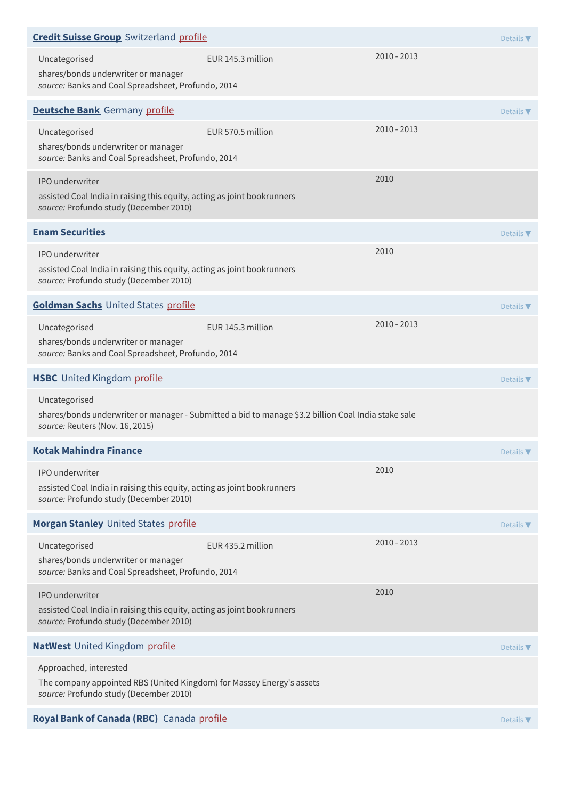| <b>Credit Suisse Group</b> Switzerland profile                                                                                              |                                                                                                     |               |                  |
|---------------------------------------------------------------------------------------------------------------------------------------------|-----------------------------------------------------------------------------------------------------|---------------|------------------|
| Uncategorised<br>shares/bonds underwriter or manager<br>source: Banks and Coal Spreadsheet, Profundo, 2014                                  | EUR 145.3 million                                                                                   | $2010 - 2013$ |                  |
| <b>Deutsche Bank</b> Germany profile                                                                                                        |                                                                                                     |               | Details $\nabla$ |
| Uncategorised<br>shares/bonds underwriter or manager<br>source: Banks and Coal Spreadsheet, Profundo, 2014                                  | EUR 570.5 million                                                                                   | $2010 - 2013$ |                  |
| IPO underwriter<br>assisted Coal India in raising this equity, acting as joint bookrunners<br>source: Profundo study (December 2010)        |                                                                                                     | 2010          |                  |
| <b>Enam Securities</b>                                                                                                                      |                                                                                                     |               | Details $\nabla$ |
| IPO underwriter<br>assisted Coal India in raising this equity, acting as joint bookrunners<br>source: Profundo study (December 2010)        |                                                                                                     | 2010          |                  |
| <b>Goldman Sachs United States profile</b>                                                                                                  |                                                                                                     |               | Details $\nabla$ |
| Uncategorised<br>shares/bonds underwriter or manager<br>source: Banks and Coal Spreadsheet, Profundo, 2014                                  | EUR 145.3 million                                                                                   | $2010 - 2013$ |                  |
| <b>HSBC</b> United Kingdom profile                                                                                                          |                                                                                                     |               | Details $\nabla$ |
| Uncategorised<br>source: Reuters (Nov. 16, 2015)                                                                                            | shares/bonds underwriter or manager - Submitted a bid to manage \$3.2 billion Coal India stake sale |               |                  |
| <b>Kotak Mahindra Finance</b>                                                                                                               |                                                                                                     |               | Details $\nabla$ |
| IPO underwriter<br>assisted Coal India in raising this equity, acting as joint bookrunners<br>source: Profundo study (December 2010)        |                                                                                                     | 2010          |                  |
| <b>Morgan Stanley United States profile</b>                                                                                                 |                                                                                                     |               | Details $\nabla$ |
| Uncategorised<br>shares/bonds underwriter or manager<br>source: Banks and Coal Spreadsheet, Profundo, 2014                                  | EUR 435.2 million                                                                                   | 2010 - 2013   |                  |
| <b>IPO</b> underwriter<br>assisted Coal India in raising this equity, acting as joint bookrunners<br>source: Profundo study (December 2010) |                                                                                                     | 2010          |                  |
| <b>NatWest</b> United Kingdom profile                                                                                                       |                                                                                                     |               | Details $\nabla$ |
| Approached, interested                                                                                                                      |                                                                                                     |               |                  |
| The company appointed RBS (United Kingdom) for Massey Energy's assets<br>source: Profundo study (December 2010)                             |                                                                                                     |               |                  |
| Royal Bank of Canada (RBC) Canada profile                                                                                                   |                                                                                                     |               | Details $\nabla$ |